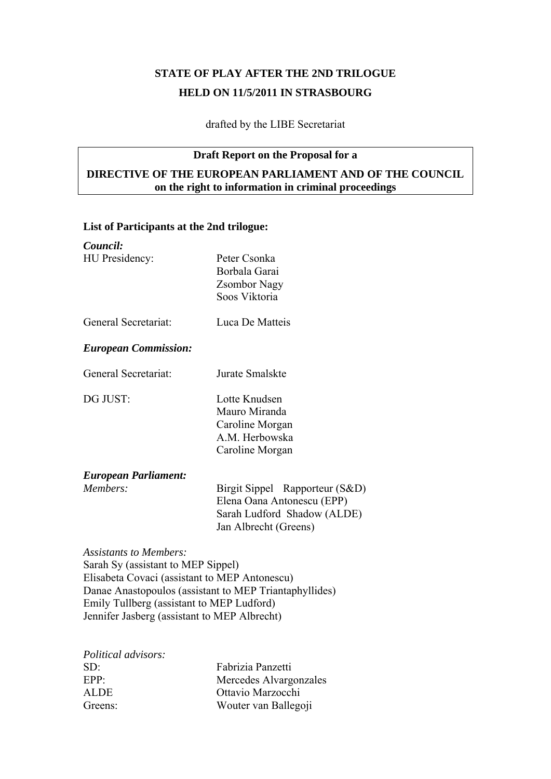# **STATE OF PLAY AFTER THE 2ND TRILOGUE HELD ON 11/5/2011 IN STRASBOURG**

drafted by the LIBE Secretariat

# **Draft Report on the Proposal for a**

# **DIRECTIVE OF THE EUROPEAN PARLIAMENT AND OF THE COUNCIL on the right to information in criminal proceedings**

#### **List of Participants at the 2nd trilogue:**

| Council:                                      |                                                        |
|-----------------------------------------------|--------------------------------------------------------|
| HU Presidency:                                | Peter Csonka                                           |
|                                               | Borbala Garai                                          |
|                                               | <b>Zsombor Nagy</b>                                    |
|                                               | Soos Viktoria                                          |
| General Secretariat:                          | Luca De Matteis                                        |
| <b>European Commission:</b>                   |                                                        |
| General Secretariat:                          | Jurate Smalskte                                        |
| DG JUST:                                      | Lotte Knudsen                                          |
|                                               | Mauro Miranda                                          |
|                                               | Caroline Morgan                                        |
|                                               | A.M. Herbowska                                         |
|                                               | Caroline Morgan                                        |
| <b>European Parliament:</b>                   |                                                        |
| Members:                                      | Birgit Sippel Rapporteur (S&D)                         |
|                                               | Elena Oana Antonescu (EPP)                             |
|                                               | Sarah Ludford Shadow (ALDE)                            |
|                                               | Jan Albrecht (Greens)                                  |
| <b>Assistants to Members:</b>                 |                                                        |
| Sarah Sy (assistant to MEP Sippel)            |                                                        |
| Elisabeta Covaci (assistant to MEP Antonescu) |                                                        |
|                                               | Danae Anastopoulos (assistant to MEP Triantaphyllides) |
| Emily Tullberg (assistant to MEP Ludford)     |                                                        |

Jennifer Jasberg (assistant to MEP Albrecht)

| <i>Political advisors:</i> |                        |
|----------------------------|------------------------|
| $SD^2$                     | Fabrizia Panzetti      |
| EPP:                       | Mercedes Alvargonzales |
| ALDE.                      | Ottavio Marzocchi      |
| Greens:                    | Wouter van Ballegoji   |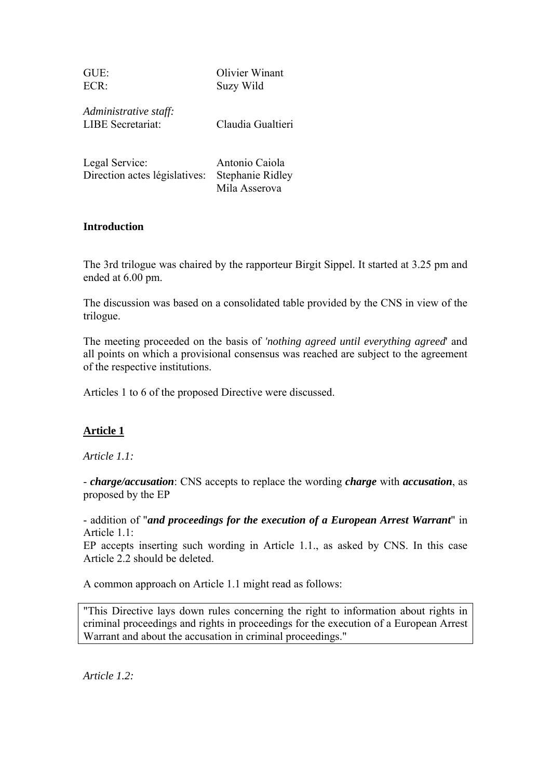| GUE:    | Olivier Winant |
|---------|----------------|
| $ECR$ : | Suzy Wild      |

*Administrative staff:* LIBE Secretariat: Claudia Gualtieri

Legal Service: Antonio Caiola Direction actes législatives: Stephanie Ridley Mila Asserova

#### **Introduction**

The 3rd trilogue was chaired by the rapporteur Birgit Sippel. It started at 3.25 pm and ended at 6.00 pm.

The discussion was based on a consolidated table provided by the CNS in view of the trilogue.

The meeting proceeded on the basis of *'nothing agreed until everything agreed*' and all points on which a provisional consensus was reached are subject to the agreement of the respective institutions.

Articles 1 to 6 of the proposed Directive were discussed.

# **Article 1**

*Article 1.1:* 

- *charge/accusation*: CNS accepts to replace the wording *charge* with *accusation*, as proposed by the EP

- addition of "*and proceedings for the execution of a European Arrest Warrant*" in Article 1 1<sup>-</sup>

EP accepts inserting such wording in Article 1.1., as asked by CNS. In this case Article 2.2 should be deleted.

A common approach on Article 1.1 might read as follows:

"This Directive lays down rules concerning the right to information about rights in criminal proceedings and rights in proceedings for the execution of a European Arrest Warrant and about the accusation in criminal proceedings."

*Article 1.2:*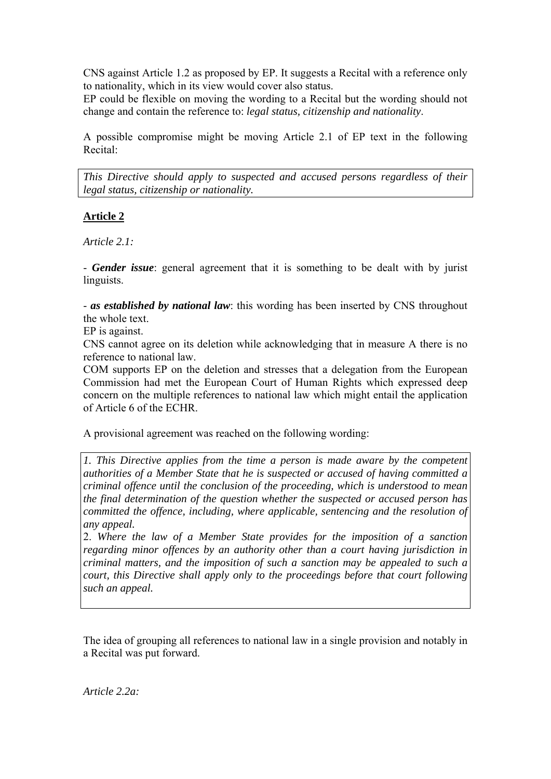CNS against Article 1.2 as proposed by EP. It suggests a Recital with a reference only to nationality, which in its view would cover also status.

EP could be flexible on moving the wording to a Recital but the wording should not change and contain the reference to: *legal status, citizenship and nationality*.

A possible compromise might be moving Article 2.1 of EP text in the following Recital:

*This Directive should apply to suspected and accused persons regardless of their legal status, citizenship or nationality.* 

# **Article 2**

*Article 2.1:* 

- *Gender issue*: general agreement that it is something to be dealt with by jurist linguists.

- *as established by national law*: this wording has been inserted by CNS throughout the whole text.

EP is against.

CNS cannot agree on its deletion while acknowledging that in measure A there is no reference to national law.

COM supports EP on the deletion and stresses that a delegation from the European Commission had met the European Court of Human Rights which expressed deep concern on the multiple references to national law which might entail the application of Article 6 of the ECHR.

A provisional agreement was reached on the following wording:

*1. This Directive applies from the time a person is made aware by the competent authorities of a Member State that he is suspected or accused of having committed a criminal offence until the conclusion of the proceeding, which is understood to mean the final determination of the question whether the suspected or accused person has committed the offence, including, where applicable, sentencing and the resolution of any appeal.* 

2. *Where the law of a Member State provides for the imposition of a sanction regarding minor offences by an authority other than a court having jurisdiction in criminal matters, and the imposition of such a sanction may be appealed to such a court, this Directive shall apply only to the proceedings before that court following such an appeal.*

The idea of grouping all references to national law in a single provision and notably in a Recital was put forward.

*Article 2.2a:*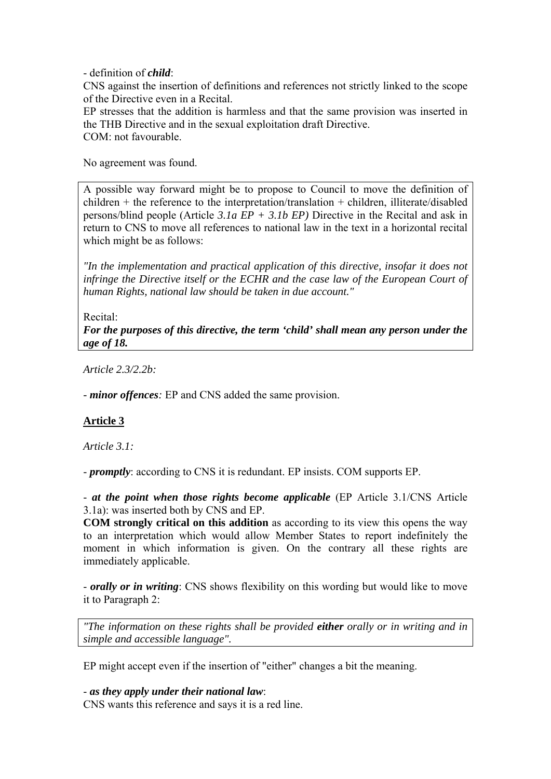- definition of *child*:

CNS against the insertion of definitions and references not strictly linked to the scope of the Directive even in a Recital.

EP stresses that the addition is harmless and that the same provision was inserted in the THB Directive and in the sexual exploitation draft Directive. COM: not favourable.

No agreement was found.

A possible way forward might be to propose to Council to move the definition of children + the reference to the interpretation/translation + children, illiterate/disabled persons/blind people (Article *3.1a EP + 3.1b EP)* Directive in the Recital and ask in return to CNS to move all references to national law in the text in a horizontal recital which might be as follows:

*"In the implementation and practical application of this directive, insofar it does not infringe the Directive itself or the ECHR and the case law of the European Court of human Rights, national law should be taken in due account."* 

Recital:

*For the purposes of this directive, the term 'child' shall mean any person under the age of 18.* 

*Article 2.3/2.2b:* 

*- minor offences:* EP and CNS added the same provision.

# **Article 3**

*Article 3.1:* 

- *promptly*: according to CNS it is redundant. EP insists. COM supports EP.

- *at the point when those rights become applicable* (EP Article 3.1/CNS Article 3.1a): was inserted both by CNS and EP.

**COM strongly critical on this addition** as according to its view this opens the way to an interpretation which would allow Member States to report indefinitely the moment in which information is given. On the contrary all these rights are immediately applicable.

- *orally or in writing*: CNS shows flexibility on this wording but would like to move it to Paragraph 2:

*"The information on these rights shall be provided either orally or in writing and in simple and accessible language".* 

EP might accept even if the insertion of "either" changes a bit the meaning.

- *as they apply under their national law*:

CNS wants this reference and says it is a red line.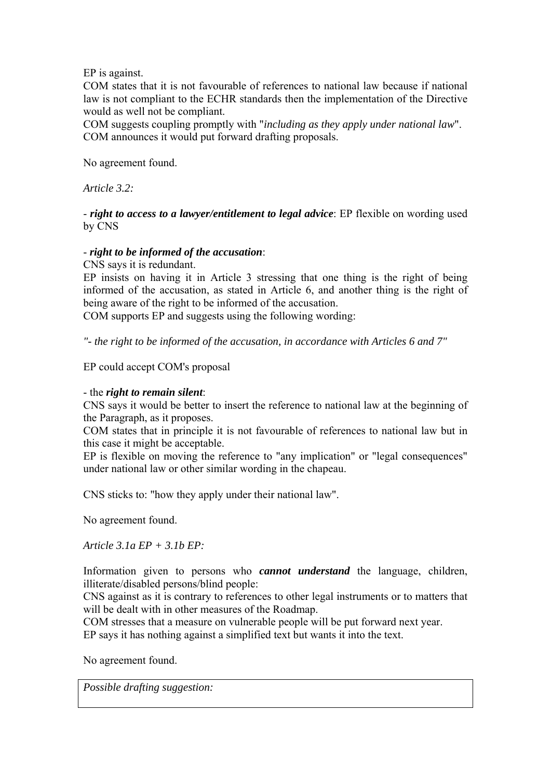EP is against.

COM states that it is not favourable of references to national law because if national law is not compliant to the ECHR standards then the implementation of the Directive would as well not be compliant.

COM suggests coupling promptly with "*including as they apply under national law*". COM announces it would put forward drafting proposals.

No agreement found.

*Article 3.2:* 

- *right to access to a lawyer/entitlement to legal advice*: EP flexible on wording used by CNS

#### - *right to be informed of the accusation*:

CNS says it is redundant.

EP insists on having it in Article 3 stressing that one thing is the right of being informed of the accusation, as stated in Article 6, and another thing is the right of being aware of the right to be informed of the accusation.

COM supports EP and suggests using the following wording:

*"- the right to be informed of the accusation, in accordance with Articles 6 and 7"* 

EP could accept COM's proposal

#### - the *right to remain silent*:

CNS says it would be better to insert the reference to national law at the beginning of the Paragraph, as it proposes.

COM states that in principle it is not favourable of references to national law but in this case it might be acceptable.

EP is flexible on moving the reference to "any implication" or "legal consequences" under national law or other similar wording in the chapeau.

CNS sticks to: "how they apply under their national law".

No agreement found.

*Article 3.1a EP + 3.1b EP:* 

Information given to persons who *cannot understand* the language, children, illiterate/disabled persons/blind people:

CNS against as it is contrary to references to other legal instruments or to matters that will be dealt with in other measures of the Roadmap.

COM stresses that a measure on vulnerable people will be put forward next year. EP says it has nothing against a simplified text but wants it into the text.

No agreement found.

*Possible drafting suggestion:*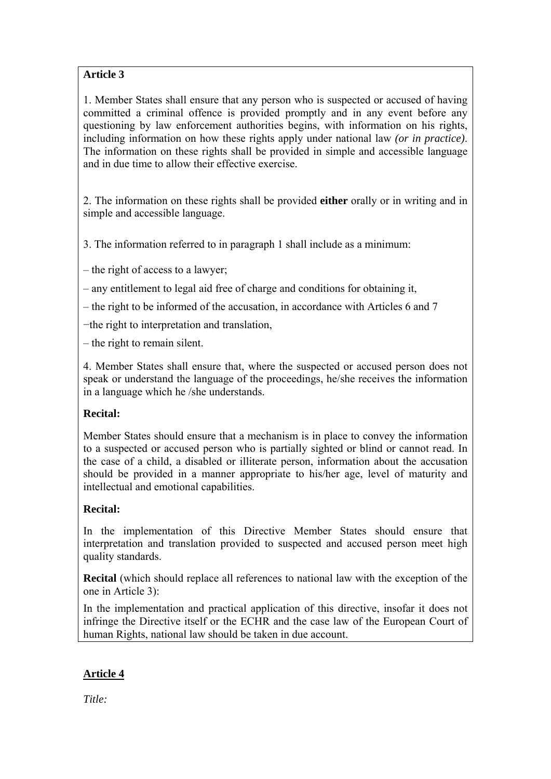# **Article 3**

1. Member States shall ensure that any person who is suspected or accused of having committed a criminal offence is provided promptly and in any event before any questioning by law enforcement authorities begins, with information on his rights, including information on how these rights apply under national law *(or in practice)*. The information on these rights shall be provided in simple and accessible language and in due time to allow their effective exercise.

2. The information on these rights shall be provided **either** orally or in writing and in simple and accessible language.

3. The information referred to in paragraph 1 shall include as a minimum:

– the right of access to a lawyer;

– any entitlement to legal aid free of charge and conditions for obtaining it,

– the right to be informed of the accusation, in accordance with Articles 6 and 7

−the right to interpretation and translation,

– the right to remain silent.

4. Member States shall ensure that, where the suspected or accused person does not speak or understand the language of the proceedings, he/she receives the information in a language which he /she understands.

# **Recital:**

Member States should ensure that a mechanism is in place to convey the information to a suspected or accused person who is partially sighted or blind or cannot read. In the case of a child, a disabled or illiterate person, information about the accusation should be provided in a manner appropriate to his/her age, level of maturity and intellectual and emotional capabilities.

# **Recital:**

In the implementation of this Directive Member States should ensure that interpretation and translation provided to suspected and accused person meet high quality standards.

**Recital** (which should replace all references to national law with the exception of the one in Article 3):

In the implementation and practical application of this directive, insofar it does not infringe the Directive itself or the ECHR and the case law of the European Court of human Rights, national law should be taken in due account.

# **Article 4**

*Title:*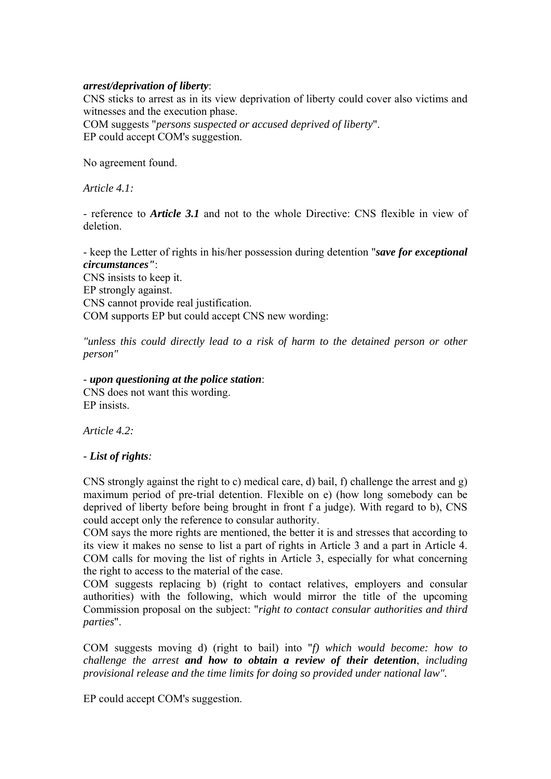#### *arrest/deprivation of liberty*:

CNS sticks to arrest as in its view deprivation of liberty could cover also victims and witnesses and the execution phase.

COM suggests "*persons suspected or accused deprived of liberty*". EP could accept COM's suggestion.

No agreement found.

*Article 4.1:* 

- reference to *Article 3.1* and not to the whole Directive: CNS flexible in view of deletion.

- keep the Letter of rights in his/her possession during detention "*save for exceptional circumstances"*: CNS insists to keep it. EP strongly against. CNS cannot provide real justification. COM supports EP but could accept CNS new wording:

*"unless this could directly lead to a risk of harm to the detained person or other person"* 

#### - *upon questioning at the police station*:

CNS does not want this wording. EP insists.

*Article 4.2:* 

*- List of rights:* 

CNS strongly against the right to c) medical care, d) bail, f) challenge the arrest and g) maximum period of pre-trial detention. Flexible on e) (how long somebody can be deprived of liberty before being brought in front f a judge). With regard to b), CNS could accept only the reference to consular authority.

COM says the more rights are mentioned, the better it is and stresses that according to its view it makes no sense to list a part of rights in Article 3 and a part in Article 4. COM calls for moving the list of rights in Article 3, especially for what concerning the right to access to the material of the case.

COM suggests replacing b) (right to contact relatives, employers and consular authorities) with the following, which would mirror the title of the upcoming Commission proposal on the subject: "*right to contact consular authorities and third parties*".

COM suggests moving d) (right to bail) into "*f) which would become: how to challenge the arrest and how to obtain a review of their detention*, *including provisional release and the time limits for doing so provided under national law".* 

EP could accept COM's suggestion.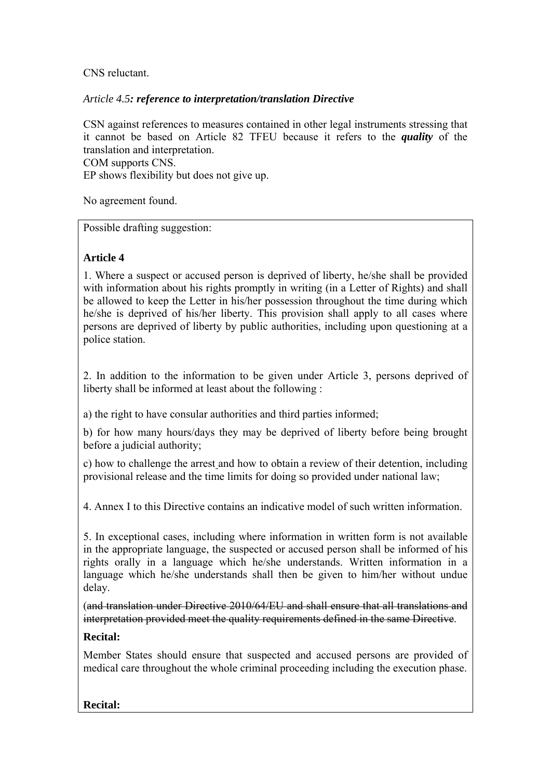# CNS reluctant.

## *Article 4.5: reference to interpretation/translation Directive*

CSN against references to measures contained in other legal instruments stressing that it cannot be based on Article 82 TFEU because it refers to the *quality* of the translation and interpretation.

COM supports CNS. EP shows flexibility but does not give up.

No agreement found.

Possible drafting suggestion:

# **Article 4**

1. Where a suspect or accused person is deprived of liberty, he/she shall be provided with information about his rights promptly in writing (in a Letter of Rights) and shall be allowed to keep the Letter in his/her possession throughout the time during which he/she is deprived of his/her liberty. This provision shall apply to all cases where persons are deprived of liberty by public authorities, including upon questioning at a police station.

2. In addition to the information to be given under Article 3, persons deprived of liberty shall be informed at least about the following :

a) the right to have consular authorities and third parties informed;

b) for how many hours/days they may be deprived of liberty before being brought before a judicial authority;

c) how to challenge the arrest and how to obtain a review of their detention, including provisional release and the time limits for doing so provided under national law;

4. Annex I to this Directive contains an indicative model of such written information.

5. In exceptional cases, including where information in written form is not available in the appropriate language, the suspected or accused person shall be informed of his rights orally in a language which he/she understands. Written information in a language which he/she understands shall then be given to him/her without undue delay.

(and translation under Directive 2010/64/EU and shall ensure that all translations and interpretation provided meet the quality requirements defined in the same Directive.

# **Recital:**

Member States should ensure that suspected and accused persons are provided of medical care throughout the whole criminal proceeding including the execution phase.

# **Recital:**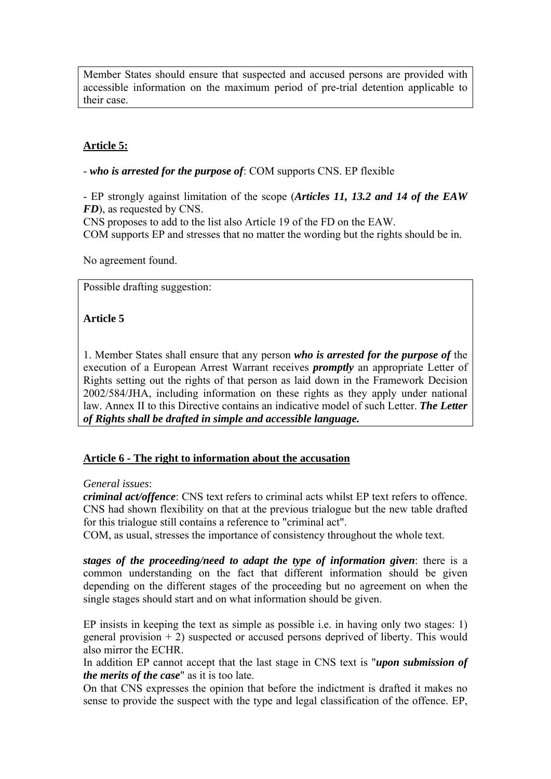Member States should ensure that suspected and accused persons are provided with accessible information on the maximum period of pre-trial detention applicable to their case.

# **Article 5:**

- *who is arrested for the purpose of*: COM supports CNS. EP flexible

- EP strongly against limitation of the scope (*Articles 11, 13.2 and 14 of the EAW FD*), as requested by CNS.

CNS proposes to add to the list also Article 19 of the FD on the EAW.

COM supports EP and stresses that no matter the wording but the rights should be in.

No agreement found.

Possible drafting suggestion:

# **Article 5**

1. Member States shall ensure that any person *who is arrested for the purpose of* the execution of a European Arrest Warrant receives *promptly* an appropriate Letter of Rights setting out the rights of that person as laid down in the Framework Decision 2002/584/JHA, including information on these rights as they apply under national law. Annex II to this Directive contains an indicative model of such Letter. *The Letter of Rights shall be drafted in simple and accessible language.* 

# **Article 6 - The right to information about the accusation**

# *General issues*:

*criminal act/offence*: CNS text refers to criminal acts whilst EP text refers to offence. CNS had shown flexibility on that at the previous trialogue but the new table drafted for this trialogue still contains a reference to "criminal act".

COM, as usual, stresses the importance of consistency throughout the whole text.

*stages of the proceeding/need to adapt the type of information given*: there is a common understanding on the fact that different information should be given depending on the different stages of the proceeding but no agreement on when the single stages should start and on what information should be given.

EP insists in keeping the text as simple as possible i.e. in having only two stages: 1) general provision  $+ 2$ ) suspected or accused persons deprived of liberty. This would also mirror the ECHR.

In addition EP cannot accept that the last stage in CNS text is "*upon submission of the merits of the case*" as it is too late.

On that CNS expresses the opinion that before the indictment is drafted it makes no sense to provide the suspect with the type and legal classification of the offence. EP,